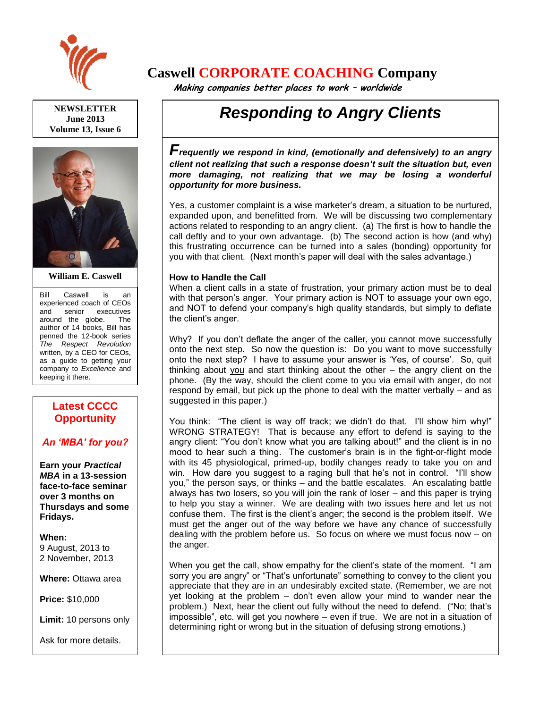

**NEWSLETTER June 2013 Volume 13, Issue 6**



**William E. Caswell**

Bill Caswell is an experienced coach of CEOs and senior executives around the globe. The author of 14 books, Bill has penned the 12-book series *The Respect Revolution* written, by a CEO for CEOs, as a guide to getting your company to *Excellence* and keeping it there.

### **Latest CCCC Opportunity**

### *An 'MBA' for you?*

**Earn your** *Practical MBA* **in a 13-session face-to-face seminar over 3 months on Thursdays and some Fridays.**

**When:**  9 August, 2013 to 2 November, 2013

**Where:** Ottawa area

**Price:** \$10,000

**Limit:** 10 persons only

Ask for more details.

## **Caswell CORPORATE COACHING Company**

 **Making companies better places to work – worldwide**

# *Responding to Angry Clients*

F<sub>requently we respond in kind, (emotionally and defensively) to an angry</sub> *client not realizing that such a response doesn't suit the situation but, even more damaging, not realizing that we may be losing a wonderful opportunity for more business.*

Yes, a customer complaint is a wise marketer's dream, a situation to be nurtured, expanded upon, and benefitted from. We will be discussing two complementary actions related to responding to an angry client. (a) The first is how to handle the call deftly and to your own advantage. (b) The second action is how (and why) this frustrating occurrence can be turned into a sales (bonding) opportunity for you with that client. (Next month's paper will deal with the sales advantage.)

### **How to Handle the Call**

When a client calls in a state of frustration, your primary action must be to deal with that person's anger. Your primary action is NOT to assuage your own ego, and NOT to defend your company's high quality standards, but simply to deflate the client's anger.

Why? If you don't deflate the anger of the caller, you cannot move successfully onto the next step. So now the question is: Do you want to move successfully onto the next step? I have to assume your answer is 'Yes, of course'. So, quit thinking about you and start thinking about the other – the angry client on the phone. (By the way, should the client come to you via email with anger, do not respond by email, but pick up the phone to deal with the matter verbally – and as suggested in this paper.)

You think: "The client is way off track; we didn't do that. I'll show him why!" WRONG STRATEGY! That is because any effort to defend is saying to the angry client: "You don't know what you are talking about!" and the client is in no mood to hear such a thing. The customer's brain is in the fight-or-flight mode with its 45 physiological, primed-up, bodily changes ready to take you on and win. How dare you suggest to a raging bull that he's not in control. "I'll show you," the person says, or thinks – and the battle escalates. An escalating battle always has two losers, so you will join the rank of loser – and this paper is trying to help you stay a winner. We are dealing with two issues here and let us not confuse them. The first is the client's anger; the second is the problem itself. We must get the anger out of the way before we have any chance of successfully dealing with the problem before us. So focus on where we must focus now – on the anger.

When you get the call, show empathy for the client's state of the moment. "I am sorry you are angry" or "That's unfortunate" something to convey to the client you appreciate that they are in an undesirably excited state. (Remember, we are not yet looking at the problem – don't even allow your mind to wander near the problem.) Next, hear the client out fully without the need to defend. ("No; that's impossible", etc. will get you nowhere – even if true. We are not in a situation of determining right or wrong but in the situation of defusing strong emotions.)